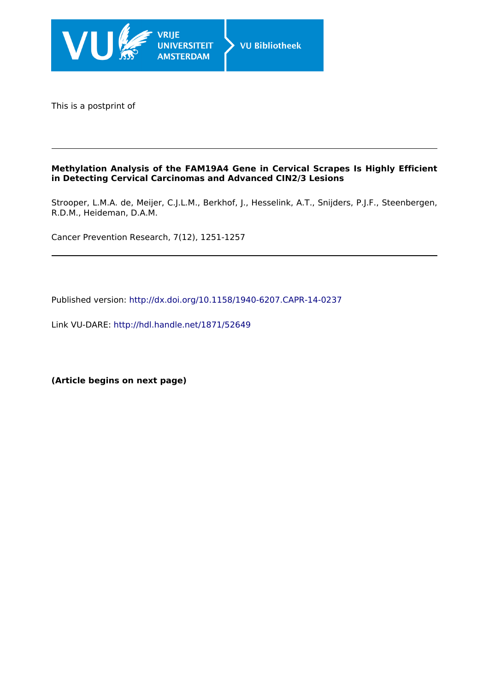

This is a postprint of

### **Methylation Analysis of the FAM19A4 Gene in Cervical Scrapes Is Highly Efficient in Detecting Cervical Carcinomas and Advanced CIN2/3 Lesions**

Strooper, L.M.A. de, Meijer, C.J.L.M., Berkhof, J., Hesselink, A.T., Snijders, P.J.F., Steenbergen, R.D.M., Heideman, D.A.M.

Cancer Prevention Research, 7(12), 1251-1257

Published version:<http://dx.doi.org/10.1158/1940-6207.CAPR-14-0237>

Link VU-DARE:<http://hdl.handle.net/1871/52649>

**(Article begins on next page)**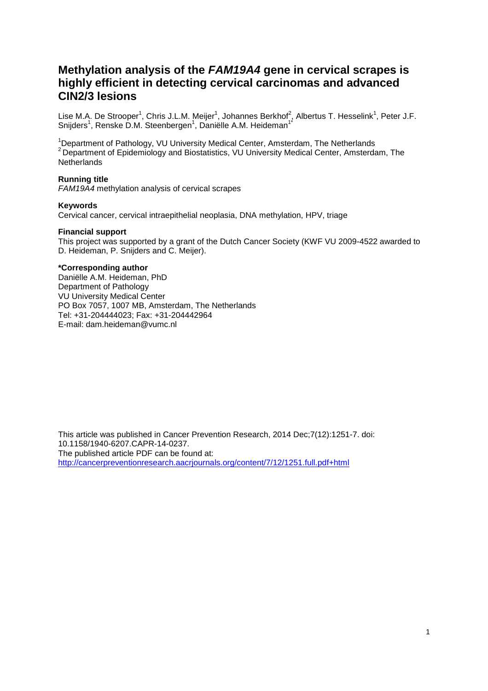# **Methylation analysis of the FAM19A4 gene in cervical scrapes is highly efficient in detecting cervical carcinomas and advanced CIN2/3 lesions**

Lise M.A. De Strooper<sup>1</sup>, Chris J.L.M. Meijer<sup>1</sup>, Johannes Berkhof<sup>2</sup>, Albertus T. Hesselink<sup>1</sup>, Peter J.F. Snijders<sup>1</sup>, Renske D.M. Steenbergen<sup>1</sup>, Daniëlle A.M. Heideman<sup>1\*</sup>

<sup>1</sup>Department of Pathology, VU University Medical Center, Amsterdam, The Netherlands <sup>2</sup>Department of Epidemiology and Biostatistics, VU University Medical Center, Amsterdam, The **Netherlands** 

#### **Running title**

FAM19A4 methylation analysis of cervical scrapes

#### **Keywords**

Cervical cancer, cervical intraepithelial neoplasia, DNA methylation, HPV, triage

#### **Financial support**

This project was supported by a grant of the Dutch Cancer Society (KWF VU 2009-4522 awarded to D. Heideman, P. Snijders and C. Meijer).

#### **\*Corresponding author**

Daniëlle A.M. Heideman, PhD Department of Pathology VU University Medical Center PO Box 7057, 1007 MB, Amsterdam, The Netherlands Tel: +31-204444023; Fax: +31-204442964 E-mail: dam.heideman@vumc.nl

This article was published in Cancer Prevention Research, 2014 Dec;7(12):1251-7. doi: 10.1158/1940-6207.CAPR-14-0237. The published article PDF can be found at: http://cancerpreventionresearch.aacrjournals.org/content/7/12/1251.full.pdf+html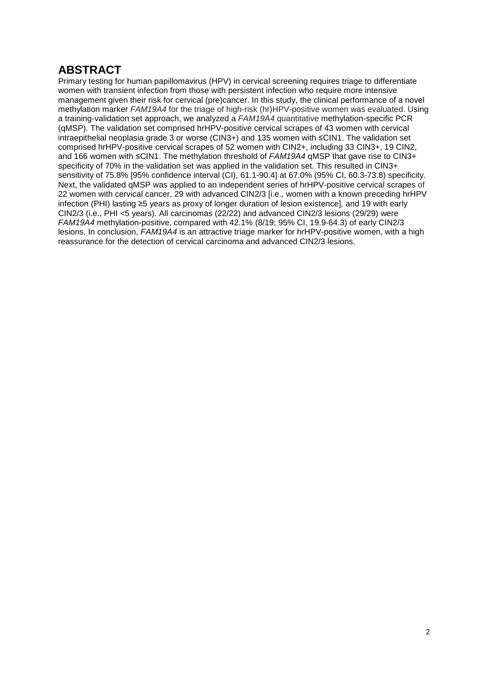# **ABSTRACT**

Primary testing for human papillomavirus (HPV) in cervical screening requires triage to differentiate women with transient infection from those with persistent infection who require more intensive management given their risk for cervical (pre)cancer. In this study, the clinical performance of a novel methylation marker FAM19A4 for the triage of high-risk (hr)HPV-positive women was evaluated. Using a training-validation set approach, we analyzed a FAM19A4 quantitative methylation-specific PCR (qMSP). The validation set comprised hrHPV-positive cervical scrapes of 43 women with cervical intraepithelial neoplasia grade 3 or worse (CIN3+) and 135 women with ≤CIN1. The validation set comprised hrHPV-positive cervical scrapes of 52 women with CIN2+, including 33 CIN3+, 19 CIN2, and 166 women with ≤CIN1. The methylation threshold of FAM19A4 qMSP that gave rise to CIN3+ specificity of 70% in the validation set was applied in the validation set. This resulted in CIN3+ sensitivity of 75.8% [95% confidence interval (CI), 61.1-90.4] at 67.0% (95% CI, 60.3-73.8) specificity. Next, the validated qMSP was applied to an independent series of hrHPV-positive cervical scrapes of 22 women with cervical cancer, 29 with advanced CIN2/3 [i.e., women with a known preceding hrHPV infection (PHI) lasting ≥5 years as proxy of longer duration of lesion existence], and 19 with early CIN2/3 (i.e., PHI <5 years). All carcinomas (22/22) and advanced CIN2/3 lesions (29/29) were FAM19A4 methylation-positive, compared with 42.1% (8/19; 95% CI, 19.9-64.3) of early CIN2/3 lesions. In conclusion, FAM19A4 is an attractive triage marker for hrHPV-positive women, with a high reassurance for the detection of cervical carcinoma and advanced CIN2/3 lesions.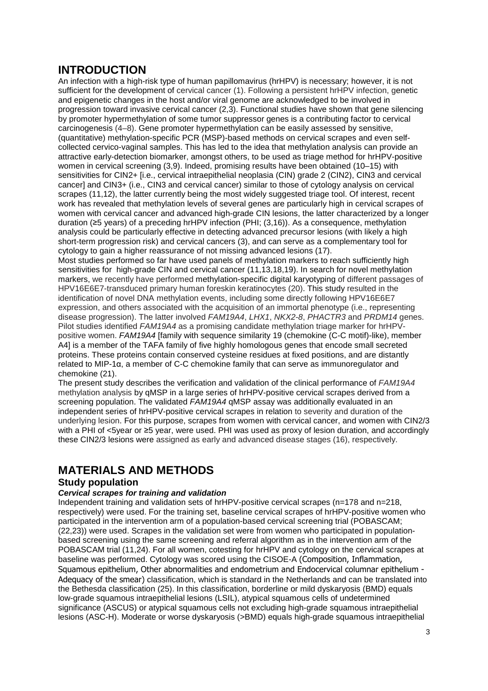# **INTRODUCTION**

An infection with a high-risk type of human papillomavirus (hrHPV) is necessary; however, it is not sufficient for the development of cervical cancer (1). Following a persistent hrHPV infection, genetic and epigenetic changes in the host and/or viral genome are acknowledged to be involved in progression toward invasive cervical cancer (2,3). Functional studies have shown that gene silencing by promoter hypermethylation of some tumor suppressor genes is a contributing factor to cervical carcinogenesis (4–8). Gene promoter hypermethylation can be easily assessed by sensitive, (quantitative) methylation-specific PCR (MSP)-based methods on cervical scrapes and even selfcollected cervico-vaginal samples. This has led to the idea that methylation analysis can provide an attractive early-detection biomarker, amongst others, to be used as triage method for hrHPV-positive women in cervical screening (3,9). Indeed, promising results have been obtained (10–15) with sensitivities for CIN2+ [i.e., cervical intraepithelial neoplasia (CIN) grade 2 (CIN2), CIN3 and cervical cancer] and CIN3+ (i.e., CIN3 and cervical cancer) similar to those of cytology analysis on cervical scrapes (11,12), the latter currently being the most widely suggested triage tool. Of interest, recent work has revealed that methylation levels of several genes are particularly high in cervical scrapes of women with cervical cancer and advanced high-grade CIN lesions, the latter characterized by a longer duration (≥5 years) of a preceding hrHPV infection (PHI; (3,16)). As a consequence, methylation analysis could be particularly effective in detecting advanced precursor lesions (with likely a high short-term progression risk) and cervical cancers (3), and can serve as a complementary tool for cytology to gain a higher reassurance of not missing advanced lesions (17).

Most studies performed so far have used panels of methylation markers to reach sufficiently high sensitivities for high-grade CIN and cervical cancer (11,13,18,19). In search for novel methylation markers, we recently have performed methylation-specific digital karyotyping of different passages of HPV16E6E7-transduced primary human foreskin keratinocytes (20). This study resulted in the identification of novel DNA methylation events, including some directly following HPV16E6E7 expression, and others associated with the acquisition of an immortal phenotype (i.e., representing disease progression). The latter involved FAM19A4, LHX1, NKX2-8, PHACTR3 and PRDM14 genes. Pilot studies identified FAM19A4 as a promising candidate methylation triage marker for hrHPVpositive women. FAM19A4 [family with sequence similarity 19 (chemokine (C-C motif)-like), member A4] is a member of the TAFA family of five highly homologous genes that encode small secreted proteins. These proteins contain conserved cysteine residues at fixed positions, and are distantly related to MIP-1α, a member of C-C chemokine family that can serve as immunoregulator and chemokine (21).

The present study describes the verification and validation of the clinical performance of FAM19A4 methylation analysis by qMSP in a large series of hrHPV-positive cervical scrapes derived from a screening population. The validated FAM19A4 qMSP assay was additionally evaluated in an independent series of hrHPV-positive cervical scrapes in relation to severity and duration of the underlying lesion. For this purpose, scrapes from women with cervical cancer, and women with CIN2/3 with a PHI of <5year or ≥5 year, were used. PHI was used as proxy of lesion duration, and accordingly these CIN2/3 lesions were assigned as early and advanced disease stages (16), respectively.

# **MATERIALS AND METHODS**

## **Study population**

### **Cervical scrapes for training and validation**

Independent training and validation sets of hrHPV-positive cervical scrapes (n=178 and n=218, respectively) were used. For the training set, baseline cervical scrapes of hrHPV-positive women who participated in the intervention arm of a population-based cervical screening trial (POBASCAM; (22,23)) were used. Scrapes in the validation set were from women who participated in populationbased screening using the same screening and referral algorithm as in the intervention arm of the POBASCAM trial (11,24). For all women, cotesting for hrHPV and cytology on the cervical scrapes at baseline was performed. Cytology was scored using the CISOE-A (Composition, Inflammation, Squamous epithelium, Other abnormalities and endometrium and Endocervical columnar epithelium - Adequacy of the smear) classification, which is standard in the Netherlands and can be translated into the Bethesda classification (25). In this classification, borderline or mild dyskaryosis (BMD) equals low-grade squamous intraepithelial lesions (LSIL), atypical squamous cells of undetermined significance (ASCUS) or atypical squamous cells not excluding high-grade squamous intraepithelial lesions (ASC-H). Moderate or worse dyskaryosis (>BMD) equals high-grade squamous intraepithelial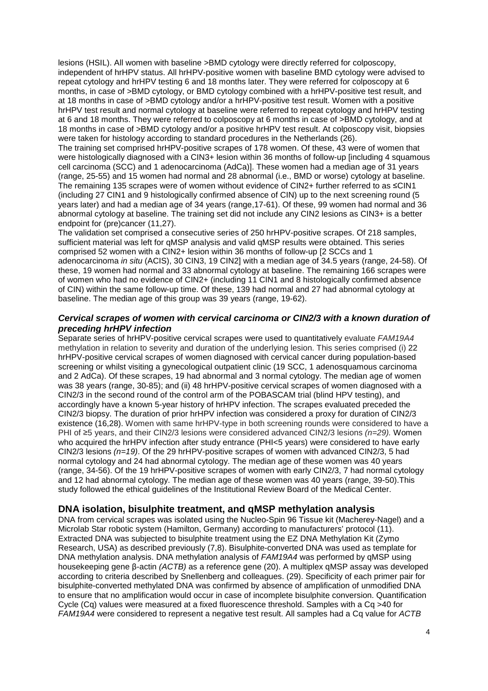lesions (HSIL). All women with baseline >BMD cytology were directly referred for colposcopy, independent of hrHPV status. All hrHPV-positive women with baseline BMD cytology were advised to repeat cytology and hrHPV testing 6 and 18 months later. They were referred for colposcopy at 6 months, in case of >BMD cytology, or BMD cytology combined with a hrHPV-positive test result, and at 18 months in case of >BMD cytology and/or a hrHPV-positive test result. Women with a positive hrHPV test result and normal cytology at baseline were referred to repeat cytology and hrHPV testing at 6 and 18 months. They were referred to colposcopy at 6 months in case of >BMD cytology, and at 18 months in case of >BMD cytology and/or a positive hrHPV test result. At colposcopy visit, biopsies were taken for histology according to standard procedures in the Netherlands (26).

The training set comprised hrHPV-positive scrapes of 178 women. Of these, 43 were of women that were histologically diagnosed with a CIN3+ lesion within 36 months of follow-up [including 4 squamous cell carcinoma (SCC) and 1 adenocarcinoma (AdCa)]. These women had a median age of 31 years (range, 25-55) and 15 women had normal and 28 abnormal (i.e., BMD or worse) cytology at baseline. The remaining 135 scrapes were of women without evidence of CIN2+ further referred to as ≤CIN1 (including 27 CIN1 and 9 histologically confirmed absence of CIN) up to the next screening round (5 years later) and had a median age of 34 years (range,17-61). Of these, 99 women had normal and 36 abnormal cytology at baseline. The training set did not include any CIN2 lesions as CIN3+ is a better endpoint for (pre)cancer (11,27).

The validation set comprised a consecutive series of 250 hrHPV-positive scrapes. Of 218 samples, sufficient material was left for qMSP analysis and valid qMSP results were obtained. This series comprised 52 women with a CIN2+ lesion within 36 months of follow-up [2 SCCs and 1 adenocarcinoma in situ (ACIS), 30 CIN3, 19 CIN2] with a median age of 34.5 years (range, 24-58). Of these, 19 women had normal and 33 abnormal cytology at baseline. The remaining 166 scrapes were of women who had no evidence of CIN2+ (including 11 CIN1 and 8 histologically confirmed absence of CIN) within the same follow-up time. Of these, 139 had normal and 27 had abnormal cytology at baseline. The median age of this group was 39 years (range, 19-62).

### **Cervical scrapes of women with cervical carcinoma or CIN2/3 with a known duration of preceding hrHPV infection**

Separate series of hrHPV-positive cervical scrapes were used to quantitatively evaluate FAM19A4 methylation in relation to severity and duration of the underlying lesion. This series comprised (i) 22 hrHPV-positive cervical scrapes of women diagnosed with cervical cancer during population-based screening or whilst visiting a gynecological outpatient clinic (19 SCC, 1 adenosquamous carcinoma and 2 AdCa). Of these scrapes, 19 had abnormal and 3 normal cytology. The median age of women was 38 years (range, 30-85); and (ii) 48 hrHPV-positive cervical scrapes of women diagnosed with a CIN2/3 in the second round of the control arm of the POBASCAM trial (blind HPV testing), and accordingly have a known 5-year history of hrHPV infection. The scrapes evaluated preceded the CIN2/3 biopsy. The duration of prior hrHPV infection was considered a proxy for duration of CIN2/3 existence (16,28). Women with same hrHPV-type in both screening rounds were considered to have a PHI of ≥5 years, and their CIN2/3 lesions were considered advanced CIN2/3 lesions ( $n=29$ ). Women who acquired the hrHPV infection after study entrance (PHI<5 years) were considered to have early CIN2/3 lesions  $(n=19)$ . Of the 29 hrHPV-positive scrapes of women with advanced CIN2/3, 5 had normal cytology and 24 had abnormal cytology. The median age of these women was 40 years (range, 34-56). Of the 19 hrHPV-positive scrapes of women with early CIN2/3, 7 had normal cytology and 12 had abnormal cytology. The median age of these women was 40 years (range, 39-50).This study followed the ethical guidelines of the Institutional Review Board of the Medical Center.

## **DNA isolation, bisulphite treatment, and qMSP methylation analysis**

DNA from cervical scrapes was isolated using the Nucleo-Spin 96 Tissue kit (Macherey-Nagel) and a Microlab Star robotic system (Hamilton, Germany) according to manufacturers' protocol (11). Extracted DNA was subjected to bisulphite treatment using the EZ DNA Methylation Kit (Zymo Research, USA) as described previously (7,8). Bisulphite-converted DNA was used as template for DNA methylation analysis. DNA methylation analysis of FAM19A4 was performed by qMSP using housekeeping gene β-actin (ACTB) as a reference gene (20). A multiplex qMSP assay was developed according to criteria described by Snellenberg and colleagues. (29). Specificity of each primer pair for bisulphite-converted methylated DNA was confirmed by absence of amplification of unmodified DNA to ensure that no amplification would occur in case of incomplete bisulphite conversion. Quantification Cycle (Cq) values were measured at a fixed fluorescence threshold. Samples with a Cq >40 for FAM19A4 were considered to represent a negative test result. All samples had a Cq value for ACTB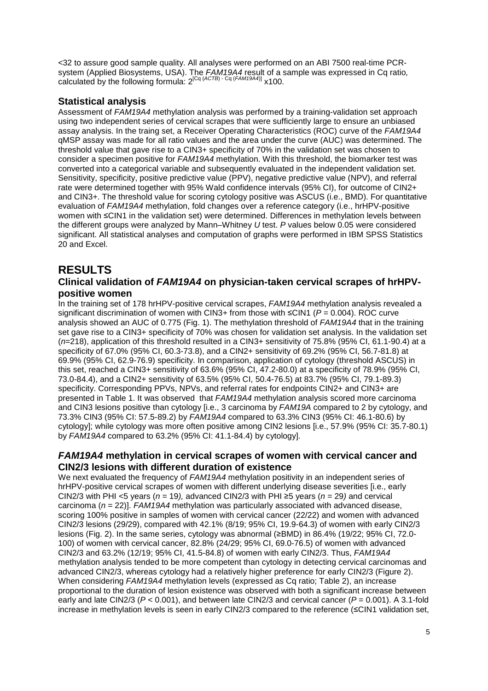<32 to assure good sample quality. All analyses were performed on an ABI 7500 real-time PCRsystem (Applied Biosystems, USA). The FAM19A4 result of a sample was expressed in Cq ratio, calculated by the following formula:  $2^{\lceil Cq\rceil}(ACTB) - Cq (FAM19A4) \rceil} \times 100$ .

## **Statistical analysis**

Assessment of FAM19A4 methylation analysis was performed by a training-validation set approach using two independent series of cervical scrapes that were sufficiently large to ensure an unbiased assay analysis. In the traing set, a Receiver Operating Characteristics (ROC) curve of the FAM19A4 qMSP assay was made for all ratio values and the area under the curve (AUC) was determined. The threshold value that gave rise to a CIN3+ specificity of 70% in the validation set was chosen to consider a specimen positive for FAM19A4 methylation. With this threshold, the biomarker test was converted into a categorical variable and subsequently evaluated in the independent validation set. Sensitivity, specificity, positive predictive value (PPV), negative predictive value (NPV), and referral rate were determined together with 95% Wald confidence intervals (95% CI), for outcome of CIN2+ and CIN3+. The threshold value for scoring cytology positive was ASCUS (i.e., BMD). For quantitative evaluation of FAM19A4 methylation, fold changes over a reference category (i.e., hrHPV-positive women with ≤CIN1 in the validation set) were determined. Differences in methylation levels between the different groups were analyzed by Mann–Whitney U test. P values below 0.05 were considered significant. All statistical analyses and computation of graphs were performed in IBM SPSS Statistics 20 and Excel.

## **RESULTS**

## **Clinical validation of FAM19A4 on physician-taken cervical scrapes of hrHPVpositive women**

In the training set of 178 hrHPV-positive cervical scrapes, FAM19A4 methylation analysis revealed a significant discrimination of women with CIN3+ from those with  $\leq$ CIN1 ( $P = 0.004$ ). ROC curve analysis showed an AUC of 0.775 (Fig. 1). The methylation threshold of FAM19A4 that in the training set gave rise to a CIN3+ specificity of 70% was chosen for validation set analysis. In the validation set  $(n=218)$ , application of this threshold resulted in a CIN3+ sensitivity of 75.8% (95% CI, 61.1-90.4) at a specificity of 67.0% (95% CI, 60.3-73.8), and a CIN2+ sensitivity of 69.2% (95% CI, 56.7-81.8) at 69.9% (95% CI, 62.9-76.9) specificity. In comparison, application of cytology (threshold ASCUS) in this set, reached a CIN3+ sensitivity of 63.6% (95% CI, 47.2-80.0) at a specificity of 78.9% (95% CI, 73.0-84.4), and a CIN2+ sensitivity of 63.5% (95% CI, 50.4-76.5) at 83.7% (95% CI, 79.1-89.3) specificity. Corresponding PPVs, NPVs, and referral rates for endpoints CIN2+ and CIN3+ are presented in Table 1. It was observed that FAM19A4 methylation analysis scored more carcinoma and CIN3 lesions positive than cytology [i.e., 3 carcinoma by FAM19A compared to 2 by cytology, and 73.3% CIN3 (95% CI: 57.5-89.2) by FAM19A4 compared to 63.3% CIN3 (95% CI: 46.1-80.6) by cytology]; while cytology was more often positive among CIN2 lesions [i.e., 57.9% (95% CI: 35.7-80.1) by FAM19A4 compared to 63.2% (95% CI: 41.1-84.4) by cytology].

## **FAM19A4 methylation in cervical scrapes of women with cervical cancer and CIN2/3 lesions with different duration of existence**

We next evaluated the frequency of FAM19A4 methylation positivity in an independent series of hrHPV-positive cervical scrapes of women with different underlying disease severities [i.e., early CIN2/3 with PHI <5 years ( $n = 19$ ), advanced CIN2/3 with PHI ≥5 years ( $n = 29$ ) and cervical carcinoma ( $n = 22$ )]. FAM19A4 methylation was particularly associated with advanced disease, scoring 100% positive in samples of women with cervical cancer (22/22) and women with advanced CIN2/3 lesions (29/29), compared with 42.1% (8/19; 95% CI, 19.9-64.3) of women with early CIN2/3 lesions (Fig. 2). In the same series, cytology was abnormal (≥BMD) in 86.4% (19/22; 95% CI, 72.0- 100) of women with cervical cancer, 82.8% (24/29; 95% CI, 69.0-76.5) of women with advanced CIN2/3 and 63.2% (12/19; 95% CI, 41.5-84.8) of women with early CIN2/3. Thus, FAM19A4 methylation analysis tended to be more competent than cytology in detecting cervical carcinomas and advanced CIN2/3, whereas cytology had a relatively higher preference for early CIN2/3 (Figure 2). When considering FAM19A4 methylation levels (expressed as Cq ratio; Table 2), an increase proportional to the duration of lesion existence was observed with both a significant increase between early and late CIN2/3 ( $P < 0.001$ ), and between late CIN2/3 and cervical cancer ( $P = 0.001$ ). A 3.1-fold increase in methylation levels is seen in early CIN2/3 compared to the reference (≤CIN1 validation set,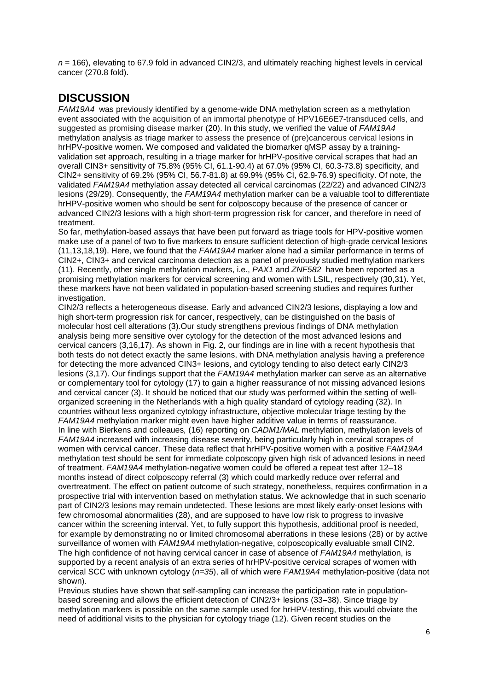$n = 166$ ), elevating to 67.9 fold in advanced CIN2/3, and ultimately reaching highest levels in cervical cancer (270.8 fold).

# **DISCUSSION**

FAM19A4 was previously identified by a genome-wide DNA methylation screen as a methylation event associated with the acquisition of an immortal phenotype of HPV16E6E7-transduced cells, and suggested as promising disease marker (20). In this study, we verified the value of FAM19A4 methylation analysis as triage marker to assess the presence of (pre)cancerous cervical lesions in hrHPV-positive women**.** We composed and validated the biomarker qMSP assay by a trainingvalidation set approach, resulting in a triage marker for hrHPV-positive cervical scrapes that had an overall CIN3+ sensitivity of 75.8% (95% CI, 61.1-90.4) at 67.0% (95% CI, 60.3-73.8) specificity, and CIN2+ sensitivity of 69.2% (95% CI, 56.7-81.8) at 69.9% (95% CI, 62.9-76.9) specificity. Of note, the validated FAM19A4 methylation assay detected all cervical carcinomas (22/22) and advanced CIN2/3 lesions (29/29). Consequently, the FAM19A4 methylation marker can be a valuable tool to differentiate hrHPV-positive women who should be sent for colposcopy because of the presence of cancer or advanced CIN2/3 lesions with a high short-term progression risk for cancer, and therefore in need of treatment.

So far, methylation-based assays that have been put forward as triage tools for HPV-positive women make use of a panel of two to five markers to ensure sufficient detection of high-grade cervical lesions (11,13,18,19). Here, we found that the FAM19A4 marker alone had a similar performance in terms of CIN2+, CIN3+ and cervical carcinoma detection as a panel of previously studied methylation markers (11). Recently, other single methylation markers, i.e., PAX1 and ZNF582 have been reported as a promising methylation markers for cervical screening and women with LSIL, respectively (30,31). Yet, these markers have not been validated in population-based screening studies and requires further investigation.

CIN2/3 reflects a heterogeneous disease. Early and advanced CIN2/3 lesions, displaying a low and high short-term progression risk for cancer, respectively, can be distinguished on the basis of molecular host cell alterations (3).Our study strengthens previous findings of DNA methylation analysis being more sensitive over cytology for the detection of the most advanced lesions and cervical cancers (3,16,17). As shown in Fig. 2, our findings are in line with a recent hypothesis that both tests do not detect exactly the same lesions, with DNA methylation analysis having a preference for detecting the more advanced CIN3+ lesions, and cytology tending to also detect early CIN2/3 lesions (3,17). Our findings support that the FAM19A4 methylation marker can serve as an alternative or complementary tool for cytology (17) to gain a higher reassurance of not missing advanced lesions and cervical cancer (3). It should be noticed that our study was performed within the setting of wellorganized screening in the Netherlands with a high quality standard of cytology reading (32). In countries without less organized cytology infrastructure, objective molecular triage testing by the FAM19A4 methylation marker might even have higher additive value in terms of reassurance. In line with Bierkens and colleaues, (16) reporting on *CADM1/MAL* methylation, methylation levels of FAM19A4 increased with increasing disease severity, being particularly high in cervical scrapes of women with cervical cancer. These data reflect that hrHPV-positive women with a positive FAM19A4 methylation test should be sent for immediate colposcopy given high risk of advanced lesions in need of treatment. FAM19A4 methylation-negative women could be offered a repeat test after 12–18 months instead of direct colposcopy referral (3) which could markedly reduce over referral and overtreatment. The effect on patient outcome of such strategy, nonetheless, requires confirmation in a prospective trial with intervention based on methylation status. We acknowledge that in such scenario part of CIN2/3 lesions may remain undetected. These lesions are most likely early-onset lesions with few chromosomal abnormalities (28), and are supposed to have low risk to progress to invasive cancer within the screening interval. Yet, to fully support this hypothesis, additional proof is needed, for example by demonstrating no or limited chromosomal aberrations in these lesions (28) or by active surveillance of women with FAM19A4 methylation-negative, colposcopically evaluable small CIN2. The high confidence of not having cervical cancer in case of absence of FAM19A4 methylation, is supported by a recent analysis of an extra series of hrHPV-positive cervical scrapes of women with cervical SCC with unknown cytology ( $n=35$ ), all of which were  $FAM19A4$  methylation-positive (data not shown).

Previous studies have shown that self-sampling can increase the participation rate in populationbased screening and allows the efficient detection of CIN2/3+ lesions (33–38). Since triage by methylation markers is possible on the same sample used for hrHPV-testing, this would obviate the need of additional visits to the physician for cytology triage (12). Given recent studies on the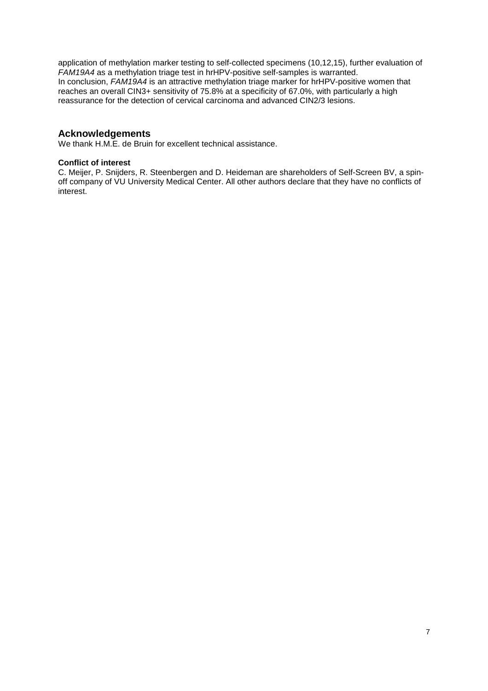application of methylation marker testing to self-collected specimens (10,12,15), further evaluation of FAM19A4 as a methylation triage test in hrHPV-positive self-samples is warranted. In conclusion, FAM19A4 is an attractive methylation triage marker for hrHPV-positive women that reaches an overall CIN3+ sensitivity of 75.8% at a specificity of 67.0%, with particularly a high reassurance for the detection of cervical carcinoma and advanced CIN2/3 lesions.

### **Acknowledgements**

We thank H.M.E. de Bruin for excellent technical assistance.

#### **Conflict of interest**

C. Meijer, P. Snijders, R. Steenbergen and D. Heideman are shareholders of Self-Screen BV, a spinoff company of VU University Medical Center. All other authors declare that they have no conflicts of interest.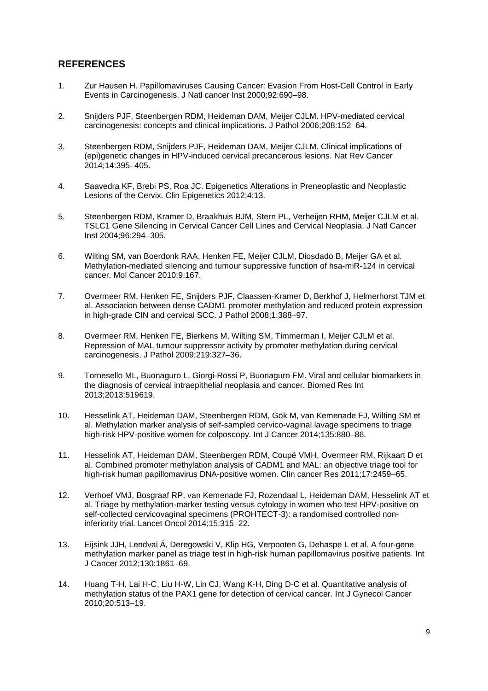## **REFERENCES**

- 1. Zur Hausen H. Papillomaviruses Causing Cancer: Evasion From Host-Cell Control in Early Events in Carcinogenesis. J Natl cancer Inst 2000;92:690–98.
- 2. Snijders PJF, Steenbergen RDM, Heideman DAM, Meijer CJLM. HPV-mediated cervical carcinogenesis: concepts and clinical implications. J Pathol 2006;208:152–64.
- 3. Steenbergen RDM, Snijders PJF, Heideman DAM, Meijer CJLM. Clinical implications of (epi)genetic changes in HPV-induced cervical precancerous lesions. Nat Rev Cancer 2014;14:395–405.
- 4. Saavedra KF, Brebi PS, Roa JC. Epigenetics Alterations in Preneoplastic and Neoplastic Lesions of the Cervix. Clin Epigenetics 2012;4:13.
- 5. Steenbergen RDM, Kramer D, Braakhuis BJM, Stern PL, Verheijen RHM, Meijer CJLM et al. TSLC1 Gene Silencing in Cervical Cancer Cell Lines and Cervical Neoplasia. J Natl Cancer Inst 2004;96:294–305.
- 6. Wilting SM, van Boerdonk RAA, Henken FE, Meijer CJLM, Diosdado B, Meijer GA et al. Methylation-mediated silencing and tumour suppressive function of hsa-miR-124 in cervical cancer. Mol Cancer 2010;9:167.
- 7. Overmeer RM, Henken FE, Snijders PJF, Claassen-Kramer D, Berkhof J, Helmerhorst TJM et al. Association between dense CADM1 promoter methylation and reduced protein expression in high-grade CIN and cervical SCC. J Pathol 2008;1:388–97.
- 8. Overmeer RM, Henken FE, Bierkens M, Wilting SM, Timmerman I, Meijer CJLM et al. Repression of MAL tumour suppressor activity by promoter methylation during cervical carcinogenesis. J Pathol 2009;219:327–36.
- 9. Tornesello ML, Buonaguro L, Giorgi-Rossi P, Buonaguro FM. Viral and cellular biomarkers in the diagnosis of cervical intraepithelial neoplasia and cancer. Biomed Res Int 2013;2013:519619.
- 10. Hesselink AT, Heideman DAM, Steenbergen RDM, Gök M, van Kemenade FJ, Wilting SM et al. Methylation marker analysis of self-sampled cervico-vaginal lavage specimens to triage high-risk HPV-positive women for colposcopy. Int J Cancer 2014;135:880–86.
- 11. Hesselink AT, Heideman DAM, Steenbergen RDM, Coupé VMH, Overmeer RM, Rijkaart D et al. Combined promoter methylation analysis of CADM1 and MAL: an objective triage tool for high-risk human papillomavirus DNA-positive women. Clin cancer Res 2011;17:2459–65.
- 12. Verhoef VMJ, Bosgraaf RP, van Kemenade FJ, Rozendaal L, Heideman DAM, Hesselink AT et al. Triage by methylation-marker testing versus cytology in women who test HPV-positive on self-collected cervicovaginal specimens (PROHTECT-3): a randomised controlled noninferiority trial. Lancet Oncol 2014;15:315–22.
- 13. Eijsink JJH, Lendvai Á, Deregowski V, Klip HG, Verpooten G, Dehaspe L et al. A four-gene methylation marker panel as triage test in high-risk human papillomavirus positive patients. Int J Cancer 2012;130:1861–69.
- 14. Huang T-H, Lai H-C, Liu H-W, Lin CJ, Wang K-H, Ding D-C et al. Quantitative analysis of methylation status of the PAX1 gene for detection of cervical cancer. Int J Gynecol Cancer 2010;20:513–19.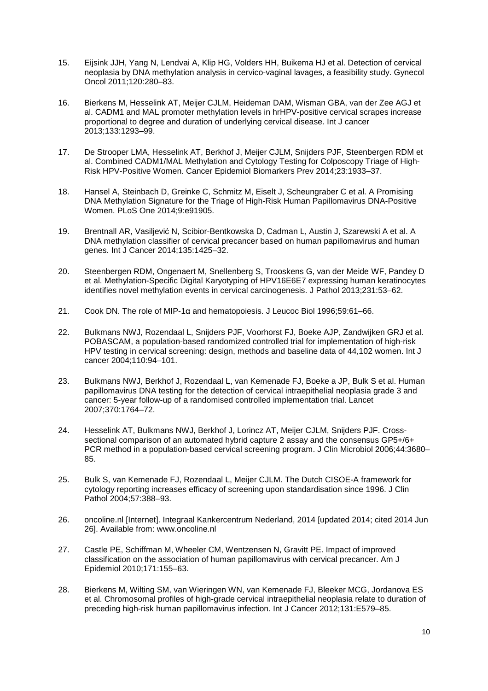- 15. Eijsink JJH, Yang N, Lendvai A, Klip HG, Volders HH, Buikema HJ et al. Detection of cervical neoplasia by DNA methylation analysis in cervico-vaginal lavages, a feasibility study. Gynecol Oncol 2011;120:280–83.
- 16. Bierkens M, Hesselink AT, Meijer CJLM, Heideman DAM, Wisman GBA, van der Zee AGJ et al. CADM1 and MAL promoter methylation levels in hrHPV-positive cervical scrapes increase proportional to degree and duration of underlying cervical disease. Int J cancer 2013;133:1293–99.
- 17. De Strooper LMA, Hesselink AT, Berkhof J, Meijer CJLM, Snijders PJF, Steenbergen RDM et al. Combined CADM1/MAL Methylation and Cytology Testing for Colposcopy Triage of High-Risk HPV-Positive Women. Cancer Epidemiol Biomarkers Prev 2014;23:1933–37.
- 18. Hansel A, Steinbach D, Greinke C, Schmitz M, Eiselt J, Scheungraber C et al. A Promising DNA Methylation Signature for the Triage of High-Risk Human Papillomavirus DNA-Positive Women. PLoS One 2014;9:e91905.
- 19. Brentnall AR, Vasiljević N, Scibior-Bentkowska D, Cadman L, Austin J, Szarewski A et al. A DNA methylation classifier of cervical precancer based on human papillomavirus and human genes. Int J Cancer 2014;135:1425–32.
- 20. Steenbergen RDM, Ongenaert M, Snellenberg S, Trooskens G, van der Meide WF, Pandey D et al. Methylation-Specific Digital Karyotyping of HPV16E6E7 expressing human keratinocytes identifies novel methylation events in cervical carcinogenesis. J Pathol 2013;231:53–62.
- 21. Cook DN. The role of MIP-1α and hematopoiesis. J Leucoc Biol 1996;59:61–66.
- 22. Bulkmans NWJ, Rozendaal L, Snijders PJF, Voorhorst FJ, Boeke AJP, Zandwijken GRJ et al. POBASCAM, a population-based randomized controlled trial for implementation of high-risk HPV testing in cervical screening: design, methods and baseline data of 44,102 women. Int J cancer 2004;110:94–101.
- 23. Bulkmans NWJ, Berkhof J, Rozendaal L, van Kemenade FJ, Boeke a JP, Bulk S et al. Human papillomavirus DNA testing for the detection of cervical intraepithelial neoplasia grade 3 and cancer: 5-year follow-up of a randomised controlled implementation trial. Lancet 2007;370:1764–72.
- 24. Hesselink AT, Bulkmans NWJ, Berkhof J, Lorincz AT, Meijer CJLM, Snijders PJF. Crosssectional comparison of an automated hybrid capture 2 assay and the consensus GP5+/6+ PCR method in a population-based cervical screening program. J Clin Microbiol 2006;44:3680– 85.
- 25. Bulk S, van Kemenade FJ, Rozendaal L, Meijer CJLM. The Dutch CISOE-A framework for cytology reporting increases efficacy of screening upon standardisation since 1996. J Clin Pathol 2004;57:388-93.
- 26. oncoline.nl [Internet]. Integraal Kankercentrum Nederland, 2014 [updated 2014; cited 2014 Jun 26]. Available from: www.oncoline.nl
- 27. Castle PE, Schiffman M, Wheeler CM, Wentzensen N, Gravitt PE. Impact of improved classification on the association of human papillomavirus with cervical precancer. Am J Epidemiol 2010;171:155–63.
- 28. Bierkens M, Wilting SM, van Wieringen WN, van Kemenade FJ, Bleeker MCG, Jordanova ES et al. Chromosomal profiles of high-grade cervical intraepithelial neoplasia relate to duration of preceding high-risk human papillomavirus infection. Int J Cancer 2012;131:E579–85.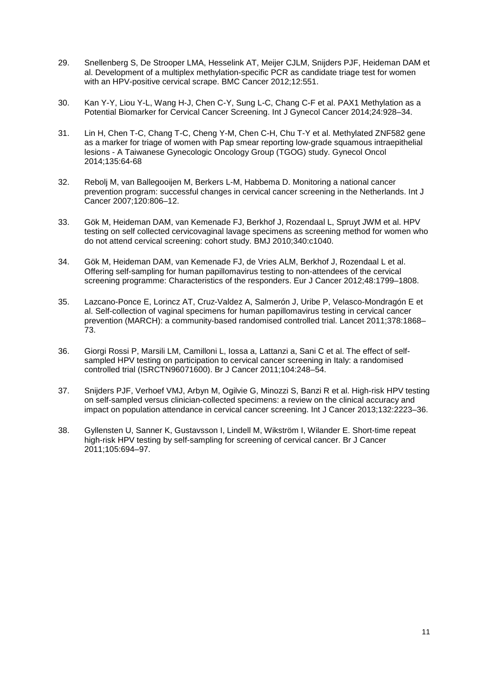- 29. Snellenberg S, De Strooper LMA, Hesselink AT, Meijer CJLM, Snijders PJF, Heideman DAM et al. Development of a multiplex methylation-specific PCR as candidate triage test for women with an HPV-positive cervical scrape. BMC Cancer 2012;12:551.
- 30. Kan Y-Y, Liou Y-L, Wang H-J, Chen C-Y, Sung L-C, Chang C-F et al. PAX1 Methylation as a Potential Biomarker for Cervical Cancer Screening. Int J Gynecol Cancer 2014;24:928–34.
- 31. Lin H, Chen T-C, Chang T-C, Cheng Y-M, Chen C-H, Chu T-Y et al. Methylated ZNF582 gene as a marker for triage of women with Pap smear reporting low-grade squamous intraepithelial lesions - A Taiwanese Gynecologic Oncology Group (TGOG) study. Gynecol Oncol 2014;135:64-68
- 32. Rebolj M, van Ballegooijen M, Berkers L-M, Habbema D. Monitoring a national cancer prevention program: successful changes in cervical cancer screening in the Netherlands. Int J Cancer 2007;120:806–12.
- 33. Gök M, Heideman DAM, van Kemenade FJ, Berkhof J, Rozendaal L, Spruyt JWM et al. HPV testing on self collected cervicovaginal lavage specimens as screening method for women who do not attend cervical screening: cohort study. BMJ 2010;340:c1040.
- 34. Gök M, Heideman DAM, van Kemenade FJ, de Vries ALM, Berkhof J, Rozendaal L et al. Offering self-sampling for human papillomavirus testing to non-attendees of the cervical screening programme: Characteristics of the responders. Eur J Cancer 2012;48:1799–1808.
- 35. Lazcano-Ponce E, Lorincz AT, Cruz-Valdez A, Salmerón J, Uribe P, Velasco-Mondragón E et al. Self-collection of vaginal specimens for human papillomavirus testing in cervical cancer prevention (MARCH): a community-based randomised controlled trial. Lancet 2011;378:1868– 73.
- 36. Giorgi Rossi P, Marsili LM, Camilloni L, Iossa a, Lattanzi a, Sani C et al. The effect of selfsampled HPV testing on participation to cervical cancer screening in Italy: a randomised controlled trial (ISRCTN96071600). Br J Cancer 2011;104:248–54.
- 37. Snijders PJF, Verhoef VMJ, Arbyn M, Ogilvie G, Minozzi S, Banzi R et al. High-risk HPV testing on self-sampled versus clinician-collected specimens: a review on the clinical accuracy and impact on population attendance in cervical cancer screening. Int J Cancer 2013;132:2223–36.
- 38. Gyllensten U, Sanner K, Gustavsson I, Lindell M, Wikström I, Wilander E. Short-time repeat high-risk HPV testing by self-sampling for screening of cervical cancer. Br J Cancer 2011;105:694–97.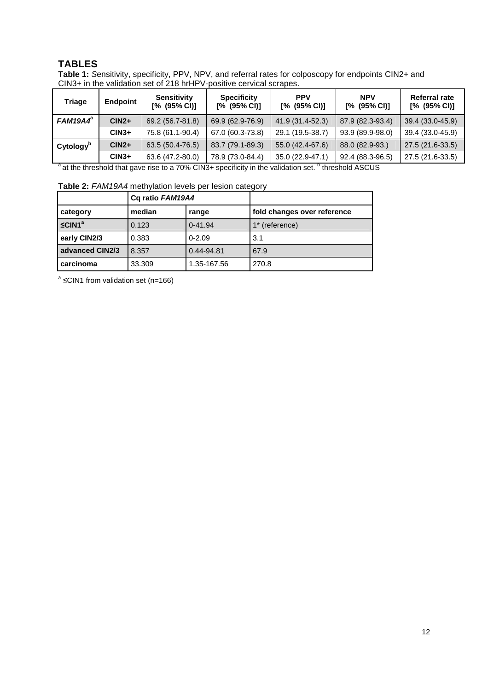## **TABLES**

**Table 1:** Sensitivity, specificity, PPV, NPV, and referral rates for colposcopy for endpoints CIN2+ and CIN3+ in the validation set of 218 hrHPV-positive cervical scrapes.

| Triage                | <b>Endpoint</b> | <b>Sensitivity</b><br>$[% (95\% CI)]$ | <b>Specificity</b><br>$[% (95\% CI)]$ | <b>PPV</b><br>$[% (95\% CI)]$ | <b>NPV</b><br>$[% (95\% CI)]$ | Referral rate<br>$[% (95\% CI)]$ |
|-----------------------|-----------------|---------------------------------------|---------------------------------------|-------------------------------|-------------------------------|----------------------------------|
| $FAM19A4^a$           | $CIN2+$         | 69.2 (56.7-81.8)                      | 69.9 (62.9-76.9)                      | 41.9 (31.4-52.3)              | 87.9 (82.3-93.4)              | 39.4 (33.0-45.9)                 |
|                       | $CIN3+$         | 75.8 (61.1-90.4)                      | 67.0 (60.3-73.8)                      | 29.1 (19.5-38.7)              | 93.9 (89.9-98.0)              | 39.4 (33.0-45.9)                 |
| Cytology <sup>b</sup> | $CIN2+$         | 63.5 (50.4-76.5)                      | 83.7 (79.1-89.3)                      | 55.0 (42.4-67.6)              | 88.0 (82.9-93.)               | 27.5 (21.6-33.5)                 |
|                       | $CIN3+$         | 63.6 (47.2-80.0)                      | 78.9 (73.0-84.4)                      | 35.0 (22.9-47.1)              | 92.4 (88.3-96.5)              | 27.5 (21.6-33.5)                 |

 $^{\text{a}}$  at the threshold that gave rise to a 70% CIN3+ specificity in the validation set.  $^{\text{b}}$  threshold ASCUS

| Table 2: FAM19A4 methylation levels per lesion category |  |
|---------------------------------------------------------|--|
|---------------------------------------------------------|--|

|                    | Cq ratio FAM19A4 |             |                             |
|--------------------|------------------|-------------|-----------------------------|
| category           | median           | range       | fold changes over reference |
| SCIN1 <sup>a</sup> | 0.123            | $0 - 41.94$ | 1* (reference)              |
| early CIN2/3       | 0.383            | $0 - 2.09$  | 3.1                         |
| advanced CIN2/3    | 8.357            | 0.44-94.81  | 67.9                        |
| carcinoma          | 33.309           | 1.35-167.56 | 270.8                       |

<sup>a</sup> ≤CIN1 from validation set (n=166)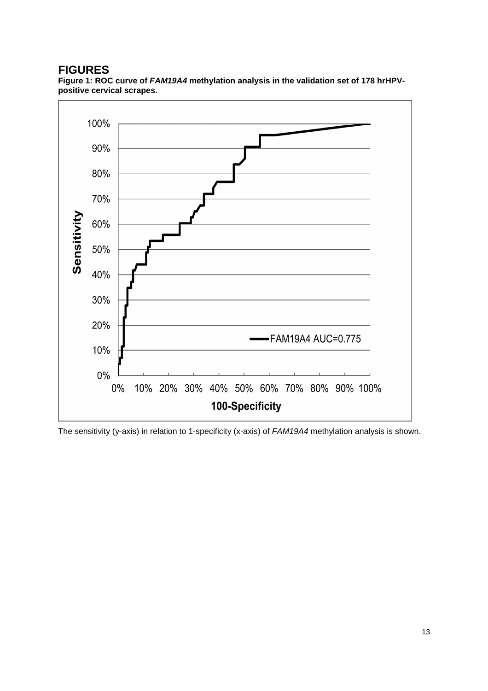## **FIGURES**

**Figure 1: ROC curve of FAM19A4 methylation analysis in the validation set of 178 hrHPVpositive cervical scrapes.**



The sensitivity (y-axis) in relation to 1-specificity (x-axis) of FAM19A4 methylation analysis is shown.